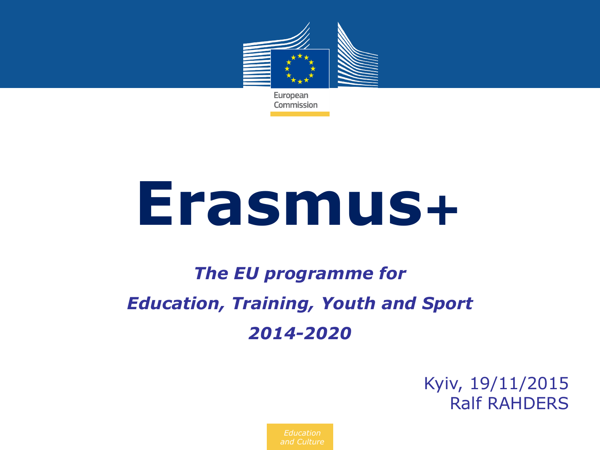

**Erasmus+**

## *The EU programme for Education, Training, Youth and Sport 2014-2020*

Kyiv, 19/11/2015 Ralf RAHDERS

*Education and Culture*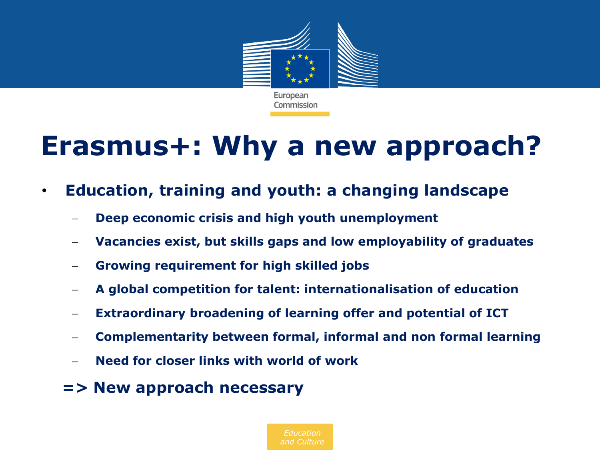

# **Erasmus+: Why a new approach?**

- **Education, training and youth: a changing landscape**
	- **Deep economic crisis and high youth unemployment**
	- **Vacancies exist, but skills gaps and low employability of graduates**
	- **Growing requirement for high skilled jobs**
	- **A global competition for talent: internationalisation of education**
	- **Extraordinary broadening of learning offer and potential of ICT**
	- **Complementarity between formal, informal and non formal learning**
	- **Need for closer links with world of work**
	- **=> New approach necessary**

*Education*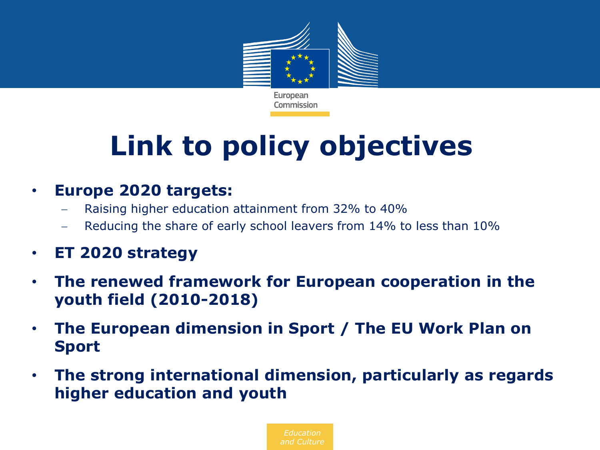

# **Link to policy objectives**

### • **Europe 2020 targets:**

- Raising higher education attainment from 32% to 40%
- Reducing the share of early school leavers from 14% to less than 10%
- **ET 2020 strategy**
- **The renewed framework for European cooperation in the youth field (2010-2018)**
- **The European dimension in Sport / The EU Work Plan on Sport**
- **The strong international dimension, particularly as regards higher education and youth**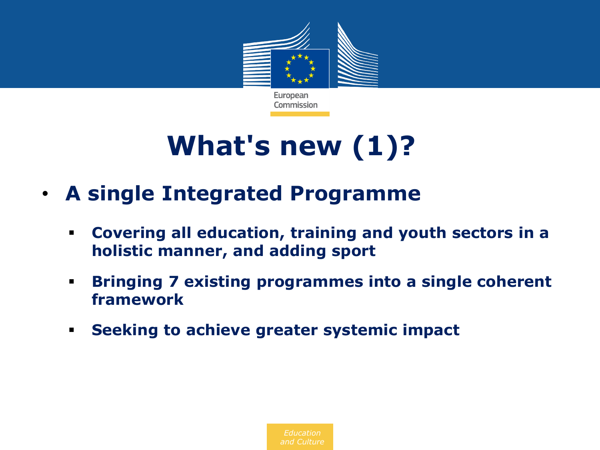

# **What's new (1)?**

- **A single Integrated Programme**
	- **Covering all education, training and youth sectors in a holistic manner, and adding sport**
	- **Bringing 7 existing programmes into a single coherent framework**
	- **Seeking to achieve greater systemic impact**

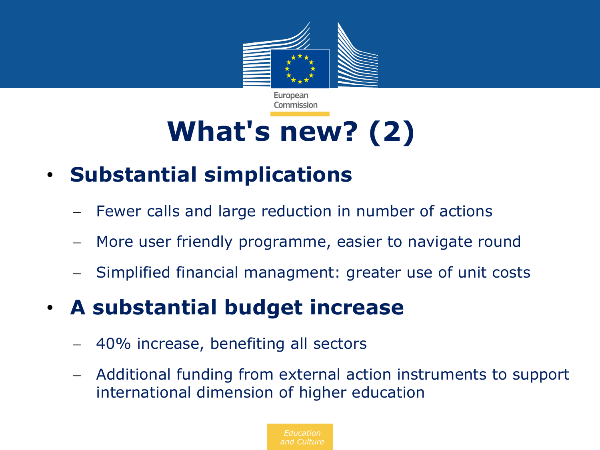

# **What's new? (2)**

Commission

## • **Substantial simplications**

- Fewer calls and large reduction in number of actions
- More user friendly programme, easier to navigate round
- Simplified financial managment: greater use of unit costs

## • **A substantial budget increase**

- 40% increase, benefiting all sectors
- Additional funding from external action instruments to support international dimension of higher education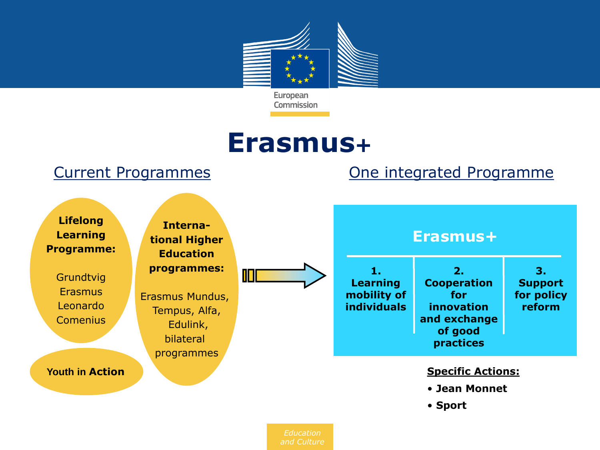

## **Erasmus+**

### Current Programmes **Current Programmes One integrated Programme**

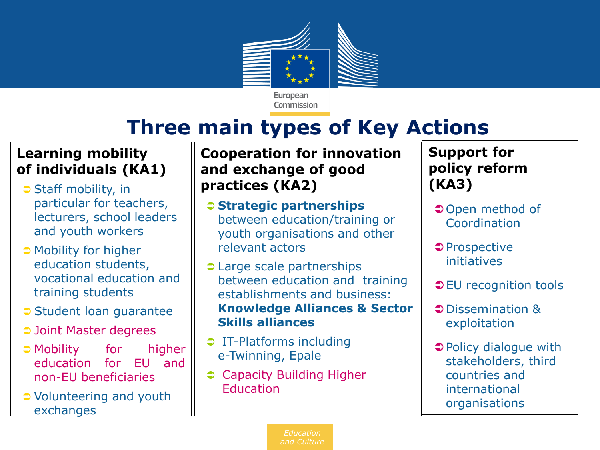

Commission

## **Three main types of Key Actions**

### **Learning mobility of individuals (KA1)**

- **■** Staff mobility, in particular for teachers, lecturers, school leaders and youth workers
- Mobility for higher education students, vocational education and training students
- Student loan quarantee
- **⊃ Joint Master degrees**
- Mobility for higher education for EU and non-EU beneficiaries
- Volunteering and youth exchanges

### **Cooperation for innovation and exchange of good practices (KA2)**

- **Strategic partnerships** between education/training or youth organisations and other relevant actors
- **Carge scale partnerships** between education and training establishments and business: **Knowledge Alliances & Sector Skills alliances**
- **D** IT-Platforms including e-Twinning, Epale
- Capacity Building Higher Education

### **Support for policy reform (KA3)**

- **⊃Open method of Coordination**
- $\supset$ Prospective initiatives
- **⊃EU recognition tools**
- Dissemination & exploitation
- **→** Policy dialogue with stakeholders, third countries and international organisations

*Education and Culture*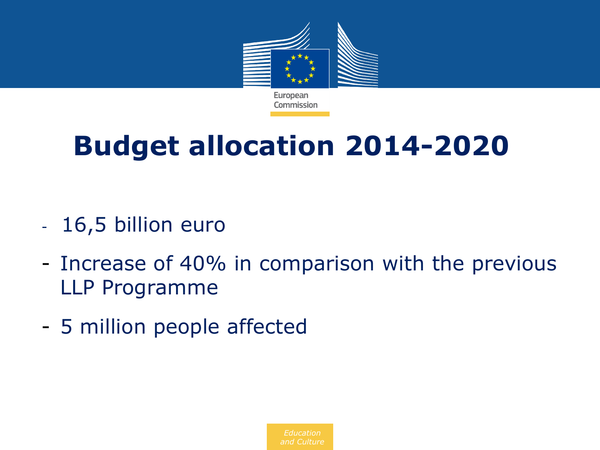

# **Budget allocation 2014-2020**

- 16,5 billion euro
- Increase of 40% in comparison with the previous LLP Programme
- 5 million people affected

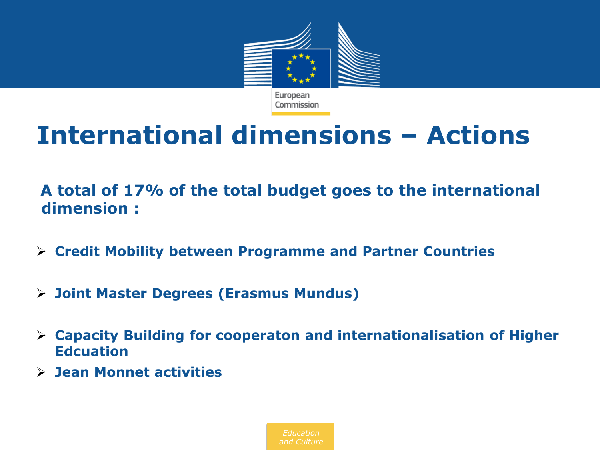

# **International dimensions – Actions**

**A total of 17% of the total budget goes to the international dimension :** 

- **Credit Mobility between Programme and Partner Countries**
- **Joint Master Degrees (Erasmus Mundus)**
- **Capacity Building for cooperaton and internationalisation of Higher Edcuation**
- **Jean Monnet activities**

*Education*